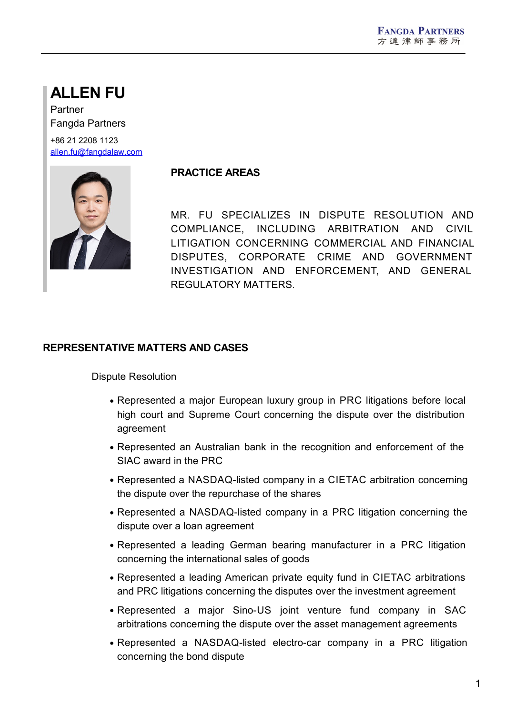# **ALLEN FU**

Partner Fangda Partners

+86 21 2208 1123 [allen.fu@fangdalaw.com](mailto:allen.fu@fangdalaw.com)



### **PRACTICE AREAS**

MR. FU SPECIALIZES IN DISPUTE RESOLUTION AND COMPLIANCE, INCLUDING ARBITRATION AND CIVIL LITIGATION CONCERNING COMMERCIAL AND FINANCIAL DISPUTES, CORPORATE CRIME AND GOVERNMENT INVESTIGATION AND ENFORCEMENT, AND GENERAL REGULATORY MATTERS.

### **REPRESENTATIVE MATTERS AND CASES**

Dispute Resolution

- Represented a major European luxury group in PRC litigations before local high court and Supreme Court concerning the dispute over the distribution agreement
- Represented an Australian bank in the recognition and enforcement of the SIAC award in the PRC
- Represented a NASDAQ-listed company in a CIETAC arbitration concerning the dispute over the repurchase of the shares
- Represented a NASDAQ-listed company in a PRC litigation concerning the dispute over a loan agreement
- Represented a leading German bearing manufacturer in a PRC litigation concerning the international sales of goods
- Represented a leading American private equity fund in CIETAC arbitrations and PRC litigations concerning the disputes over the investment agreement
- Represented a major Sino-US joint venture fund company in SAC arbitrations concerning the dispute over the asset management agreements
- Represented a NASDAQ-listed electro-car company in a PRC litigation concerning the bond dispute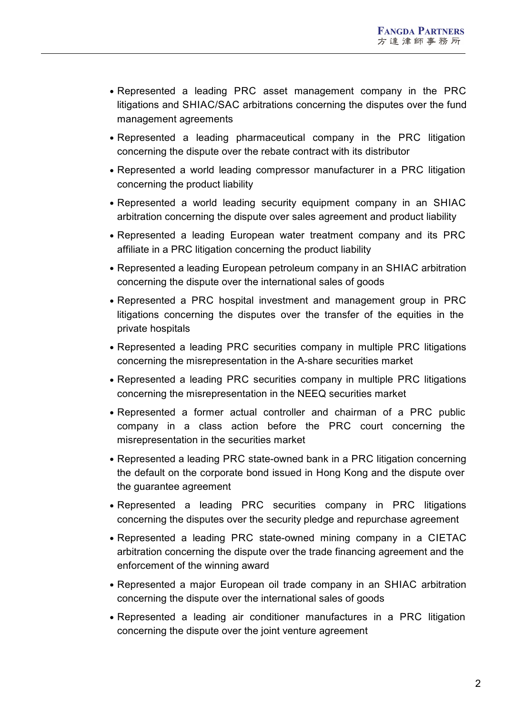- Represented a leading PRC asset management company in the PRC litigations and SHIAC/SAC arbitrations concerning the disputes over the fund management agreements
- Represented a leading pharmaceutical company in the PRC litigation concerning the dispute over the rebate contract with its distributor
- Represented a world leading compressor manufacturer in a PRC litigation concerning the product liability
- Represented a world leading security equipment company in an SHIAC arbitration concerning the dispute over sales agreement and product liability
- Represented a leading European water treatment company and its PRC affiliate in a PRC litigation concerning the product liability
- Represented a leading European petroleum company in an SHIAC arbitration concerning the dispute over the international sales of goods
- Represented a PRC hospital investment and management group in PRC litigations concerning the disputes over the transfer of the equities in the private hospitals
- Represented a leading PRC securities company in multiple PRC litigations concerning the misrepresentation in the A-share securities market
- Represented a leading PRC securities company in multiple PRC litigations concerning the misrepresentation in the NEEQ securities market
- Represented a former actual controller and chairman of a PRC public company in a class action before the PRC court concerning the misrepresentation in the securities market
- Represented a leading PRC state-owned bank in a PRC litigation concerning the default on the corporate bond issued in Hong Kong and the dispute over the guarantee agreement
- Represented a leading PRC securities company in PRC litigations concerning the disputes over the security pledge and repurchase agreement
- Represented a leading PRC state-owned mining company in a CIETAC arbitration concerning the dispute over the trade financing agreement and the enforcement of the winning award
- Represented a major European oil trade company in an SHIAC arbitration concerning the dispute over the international sales of goods
- Represented a leading air conditioner manufactures in a PRC litigation concerning the dispute over the joint venture agreement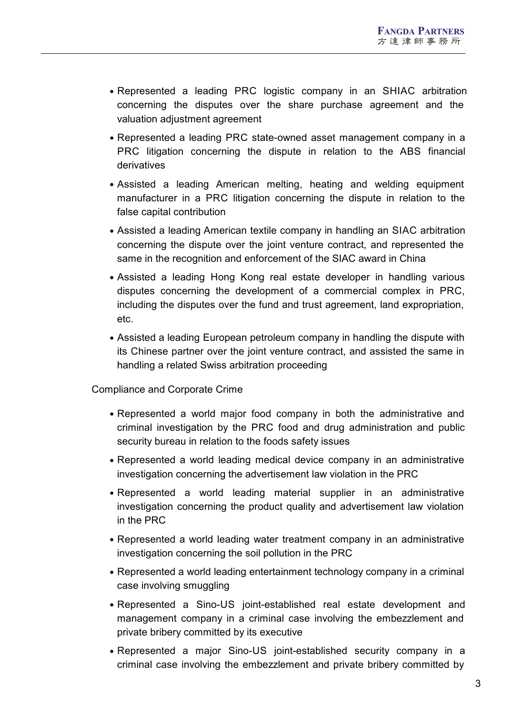- Represented a leading PRC logistic company in an SHIAC arbitration concerning the disputes over the share purchase agreement and the valuation adjustment agreement
- Represented a leading PRC state-owned asset management company in a PRC litigation concerning the dispute in relation to the ABS financial derivatives
- Assisted a leading American melting, heating and welding equipment manufacturer in a PRC litigation concerning the dispute in relation to the false capital contribution
- Assisted a leading American textile company in handling an SIAC arbitration concerning the dispute over the joint venture contract, and represented the same in the recognition and enforcement of the SIAC award in China
- Assisted a leading Hong Kong real estate developer in handling various disputes concerning the development of a commercial complex in PRC, including the disputes over the fund and trust agreement, land expropriation, etc.
- Assisted a leading European petroleum company in handling the dispute with its Chinese partner over the joint venture contract, and assisted the same in handling a related Swiss arbitration proceeding

### Compliance and Corporate Crime

- Represented a world major food company in both the administrative and criminal investigation by the PRC food and drug administration and public security bureau in relation to the foods safety issues
- Represented a world leading medical device company in an administrative investigation concerning the advertisement law violation in the PRC
- Represented a world leading material supplier in an administrative investigation concerning the product quality and advertisement law violation in the PRC
- Represented a world leading water treatment company in an administrative investigation concerning the soil pollution in the PRC
- Represented a world leading entertainment technology company in a criminal case involving smuggling
- Represented a Sino-US joint-established real estate development and management company in a criminal case involving the embezzlement and private bribery committed by its executive
- Represented a major Sino-US joint-established security company in a criminal case involving the embezzlement and private bribery committed by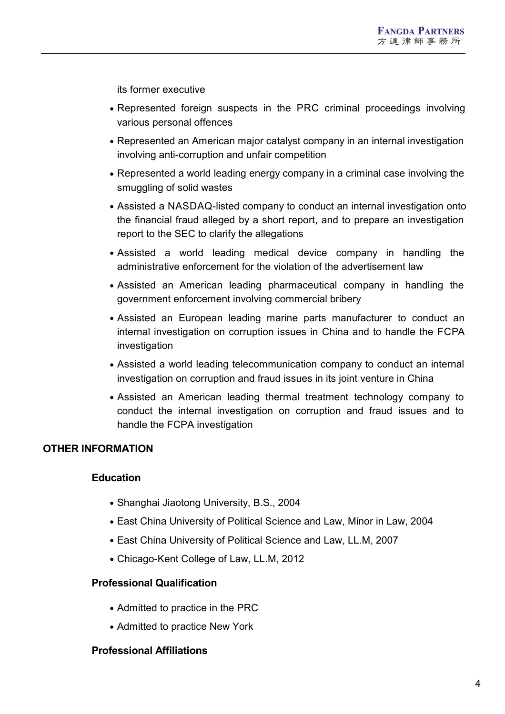its former executive

- Represented foreign suspects in the PRC criminal proceedings involving various personal offences
- Represented an American major catalyst company in an internal investigation involving anti-corruption and unfair competition
- Represented a world leading energy company in a criminal case involving the smuggling of solid wastes
- Assisted a NASDAQ-listed company to conduct an internal investigation onto the financial fraud alleged by a short report, and to prepare an investigation report to the SEC to clarify the allegations
- Assisted a world leading medical device company in handling the administrative enforcement for the violation of the advertisement law
- Assisted an American leading pharmaceutical company in handling the government enforcement involving commercial bribery
- Assisted an European leading marine parts manufacturer to conduct an internal investigation on corruption issues in China and to handle the FCPA investigation
- Assisted a world leading telecommunication company to conduct an internal investigation on corruption and fraud issues in its joint venture in China
- Assisted an American leading thermal treatment technology company to conduct the internal investigation on corruption and fraud issues and to handle the FCPA investigation

### **OTHER INFORMATION**

### **Education**

- Shanghai Jiaotong University, B.S., 2004
- East China University of Political Science and Law, Minor in Law, 2004
- East China University of Political Science and Law, LL.M, 2007
- Chicago-Kent College of Law, LL.M, 2012

#### **Professional Qualification**

- Admitted to practice in the PRC
- Admitted to practice New York

#### **Professional Affiliations**